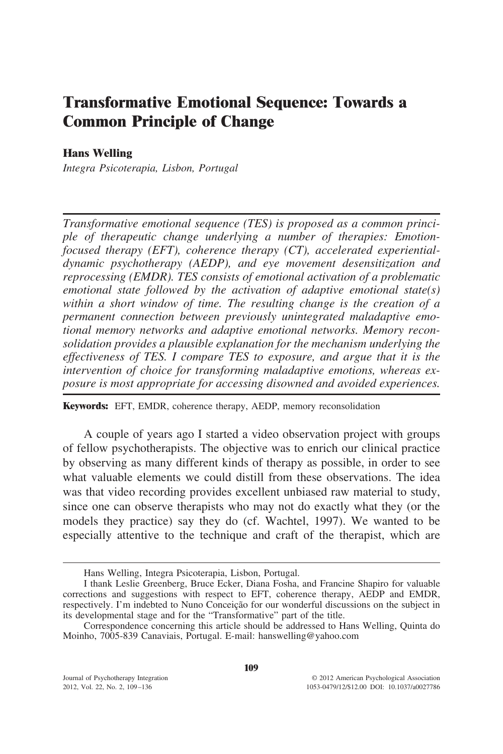# **Transformative Emotional Sequence: Towards a Common Principle of Change**

## **Hans Welling**

*Integra Psicoterapia, Lisbon, Portugal*

*Transformative emotional sequence (TES) is proposed as a common principle of therapeutic change underlying a number of therapies: Emotionfocused therapy (EFT), coherence therapy (CT), accelerated experientialdynamic psychotherapy (AEDP), and eye movement desensitization and reprocessing (EMDR). TES consists of emotional activation of a problematic emotional state followed by the activation of adaptive emotional state(s) within a short window of time. The resulting change is the creation of a permanent connection between previously unintegrated maladaptive emotional memory networks and adaptive emotional networks. Memory reconsolidation provides a plausible explanation for the mechanism underlying the effectiveness of TES. I compare TES to exposure, and argue that it is the intervention of choice for transforming maladaptive emotions, whereas exposure is most appropriate for accessing disowned and avoided experiences.*

**Keywords:** EFT, EMDR, coherence therapy, AEDP, memory reconsolidation

A couple of years ago I started a video observation project with groups of fellow psychotherapists. The objective was to enrich our clinical practice by observing as many different kinds of therapy as possible, in order to see what valuable elements we could distill from these observations. The idea was that video recording provides excellent unbiased raw material to study, since one can observe therapists who may not do exactly what they (or the models they practice) say they do (cf. Wachtel, 1997). We wanted to be especially attentive to the technique and craft of the therapist, which are

Hans Welling, Integra Psicoterapia, Lisbon, Portugal.

I thank Leslie Greenberg, Bruce Ecker, Diana Fosha, and Francine Shapiro for valuable corrections and suggestions with respect to EFT, coherence therapy, AEDP and EMDR, respectively. I'm indebted to Nuno Conceição for our wonderful discussions on the subject in its developmental stage and for the "Transformative" part of the title.

Correspondence concerning this article should be addressed to Hans Welling, Quinta do Moinho, 7005-839 Canaviais, Portugal. E-mail: hanswelling@yahoo.com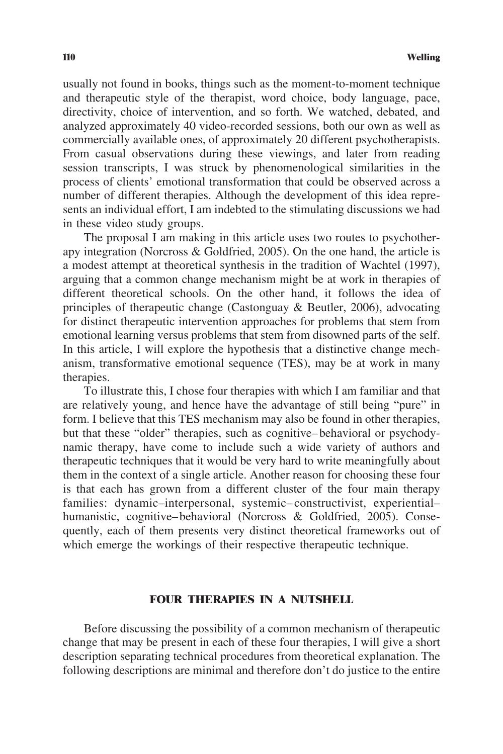usually not found in books, things such as the moment-to-moment technique and therapeutic style of the therapist, word choice, body language, pace, directivity, choice of intervention, and so forth. We watched, debated, and analyzed approximately 40 video-recorded sessions, both our own as well as commercially available ones, of approximately 20 different psychotherapists. From casual observations during these viewings, and later from reading session transcripts, I was struck by phenomenological similarities in the process of clients' emotional transformation that could be observed across a number of different therapies. Although the development of this idea represents an individual effort, I am indebted to the stimulating discussions we had in these video study groups.

The proposal I am making in this article uses two routes to psychotherapy integration (Norcross & Goldfried, 2005). On the one hand, the article is a modest attempt at theoretical synthesis in the tradition of Wachtel (1997), arguing that a common change mechanism might be at work in therapies of different theoretical schools. On the other hand, it follows the idea of principles of therapeutic change (Castonguay & Beutler, 2006), advocating for distinct therapeutic intervention approaches for problems that stem from emotional learning versus problems that stem from disowned parts of the self. In this article, I will explore the hypothesis that a distinctive change mechanism, transformative emotional sequence (TES), may be at work in many therapies.

To illustrate this, I chose four therapies with which I am familiar and that are relatively young, and hence have the advantage of still being "pure" in form. I believe that this TES mechanism may also be found in other therapies, but that these "older" therapies, such as cognitive–behavioral or psychodynamic therapy, have come to include such a wide variety of authors and therapeutic techniques that it would be very hard to write meaningfully about them in the context of a single article. Another reason for choosing these four is that each has grown from a different cluster of the four main therapy families: dynamic–interpersonal, systemic–constructivist, experiential– humanistic, cognitive–behavioral (Norcross & Goldfried, 2005). Consequently, each of them presents very distinct theoretical frameworks out of which emerge the workings of their respective therapeutic technique.

#### **FOUR THERAPIES IN A NUTSHELL**

Before discussing the possibility of a common mechanism of therapeutic change that may be present in each of these four therapies, I will give a short description separating technical procedures from theoretical explanation. The following descriptions are minimal and therefore don't do justice to the entire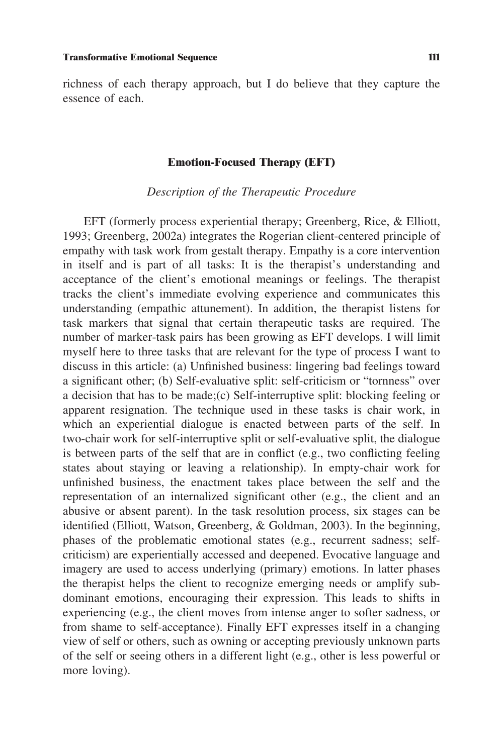richness of each therapy approach, but I do believe that they capture the essence of each.

#### **Emotion-Focused Therapy (EFT)**

*Description of the Therapeutic Procedure*

EFT (formerly process experiential therapy; Greenberg, Rice, & Elliott, 1993; Greenberg, 2002a) integrates the Rogerian client-centered principle of empathy with task work from gestalt therapy. Empathy is a core intervention in itself and is part of all tasks: It is the therapist's understanding and acceptance of the client's emotional meanings or feelings. The therapist tracks the client's immediate evolving experience and communicates this understanding (empathic attunement). In addition, the therapist listens for task markers that signal that certain therapeutic tasks are required. The number of marker-task pairs has been growing as EFT develops. I will limit myself here to three tasks that are relevant for the type of process I want to discuss in this article: (a) Unfinished business: lingering bad feelings toward a significant other; (b) Self-evaluative split: self-criticism or "tornness" over a decision that has to be made;(c) Self-interruptive split: blocking feeling or apparent resignation. The technique used in these tasks is chair work, in which an experiential dialogue is enacted between parts of the self. In two-chair work for self-interruptive split or self-evaluative split, the dialogue is between parts of the self that are in conflict (e.g., two conflicting feeling states about staying or leaving a relationship). In empty-chair work for unfinished business, the enactment takes place between the self and the representation of an internalized significant other (e.g., the client and an abusive or absent parent). In the task resolution process, six stages can be identified (Elliott, Watson, Greenberg, & Goldman, 2003). In the beginning, phases of the problematic emotional states (e.g., recurrent sadness; selfcriticism) are experientially accessed and deepened. Evocative language and imagery are used to access underlying (primary) emotions. In latter phases the therapist helps the client to recognize emerging needs or amplify subdominant emotions, encouraging their expression. This leads to shifts in experiencing (e.g., the client moves from intense anger to softer sadness, or from shame to self-acceptance). Finally EFT expresses itself in a changing view of self or others, such as owning or accepting previously unknown parts of the self or seeing others in a different light (e.g., other is less powerful or more loving).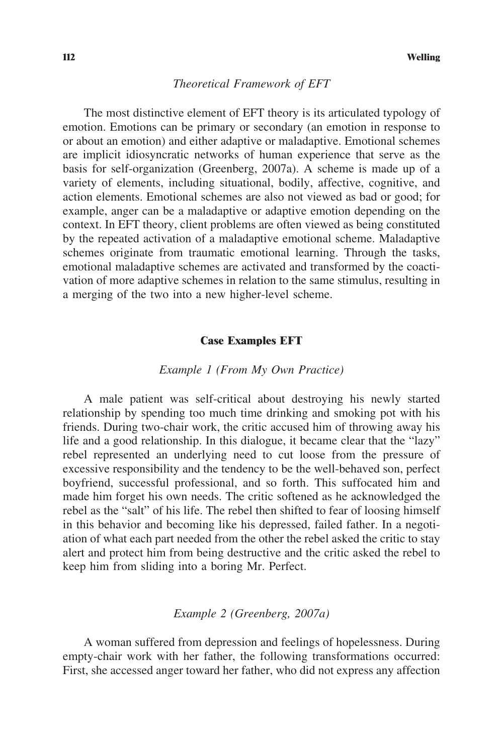## *Theoretical Framework of EFT*

The most distinctive element of EFT theory is its articulated typology of emotion. Emotions can be primary or secondary (an emotion in response to or about an emotion) and either adaptive or maladaptive. Emotional schemes are implicit idiosyncratic networks of human experience that serve as the basis for self-organization (Greenberg, 2007a). A scheme is made up of a variety of elements, including situational, bodily, affective, cognitive, and action elements. Emotional schemes are also not viewed as bad or good; for example, anger can be a maladaptive or adaptive emotion depending on the context. In EFT theory, client problems are often viewed as being constituted by the repeated activation of a maladaptive emotional scheme. Maladaptive schemes originate from traumatic emotional learning. Through the tasks, emotional maladaptive schemes are activated and transformed by the coactivation of more adaptive schemes in relation to the same stimulus, resulting in a merging of the two into a new higher-level scheme.

### **Case Examples EFT**

#### *Example 1 (From My Own Practice)*

A male patient was self-critical about destroying his newly started relationship by spending too much time drinking and smoking pot with his friends. During two-chair work, the critic accused him of throwing away his life and a good relationship. In this dialogue, it became clear that the "lazy" rebel represented an underlying need to cut loose from the pressure of excessive responsibility and the tendency to be the well-behaved son, perfect boyfriend, successful professional, and so forth. This suffocated him and made him forget his own needs. The critic softened as he acknowledged the rebel as the "salt" of his life. The rebel then shifted to fear of loosing himself in this behavior and becoming like his depressed, failed father. In a negotiation of what each part needed from the other the rebel asked the critic to stay alert and protect him from being destructive and the critic asked the rebel to keep him from sliding into a boring Mr. Perfect.

## *Example 2 (Greenberg, 2007a)*

A woman suffered from depression and feelings of hopelessness. During empty-chair work with her father, the following transformations occurred: First, she accessed anger toward her father, who did not express any affection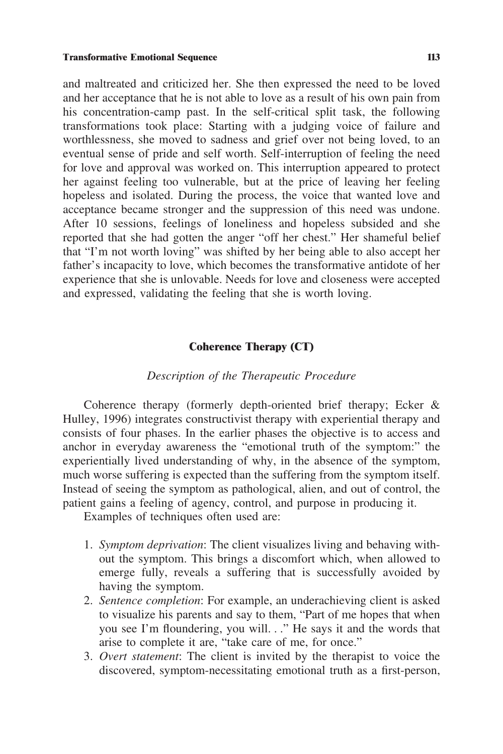and maltreated and criticized her. She then expressed the need to be loved and her acceptance that he is not able to love as a result of his own pain from his concentration-camp past. In the self-critical split task, the following transformations took place: Starting with a judging voice of failure and worthlessness, she moved to sadness and grief over not being loved, to an eventual sense of pride and self worth. Self-interruption of feeling the need for love and approval was worked on. This interruption appeared to protect her against feeling too vulnerable, but at the price of leaving her feeling hopeless and isolated. During the process, the voice that wanted love and acceptance became stronger and the suppression of this need was undone. After 10 sessions, feelings of loneliness and hopeless subsided and she reported that she had gotten the anger "off her chest." Her shameful belief that "I'm not worth loving" was shifted by her being able to also accept her father's incapacity to love, which becomes the transformative antidote of her experience that she is unlovable. Needs for love and closeness were accepted and expressed, validating the feeling that she is worth loving.

#### **Coherence Therapy (CT)**

## *Description of the Therapeutic Procedure*

Coherence therapy (formerly depth-oriented brief therapy; Ecker & Hulley, 1996) integrates constructivist therapy with experiential therapy and consists of four phases. In the earlier phases the objective is to access and anchor in everyday awareness the "emotional truth of the symptom:" the experientially lived understanding of why, in the absence of the symptom, much worse suffering is expected than the suffering from the symptom itself. Instead of seeing the symptom as pathological, alien, and out of control, the patient gains a feeling of agency, control, and purpose in producing it.

Examples of techniques often used are:

- 1. *Symptom deprivation*: The client visualizes living and behaving without the symptom. This brings a discomfort which, when allowed to emerge fully, reveals a suffering that is successfully avoided by having the symptom.
- 2. *Sentence completion*: For example, an underachieving client is asked to visualize his parents and say to them, "Part of me hopes that when you see I'm floundering, you will. . ." He says it and the words that arise to complete it are, "take care of me, for once."
- 3. *Overt statement*: The client is invited by the therapist to voice the discovered, symptom-necessitating emotional truth as a first-person,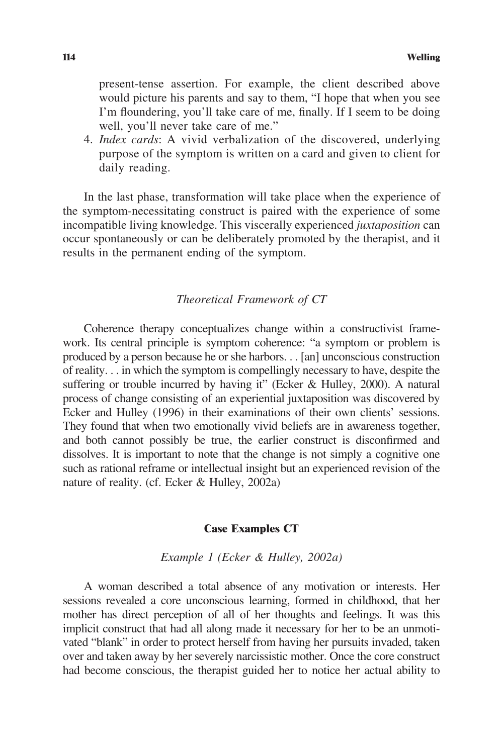present-tense assertion. For example, the client described above would picture his parents and say to them, "I hope that when you see I'm floundering, you'll take care of me, finally. If I seem to be doing well, you'll never take care of me."

4. *Index cards*: A vivid verbalization of the discovered, underlying purpose of the symptom is written on a card and given to client for daily reading.

In the last phase, transformation will take place when the experience of the symptom-necessitating construct is paired with the experience of some incompatible living knowledge. This viscerally experienced *juxtaposition* can occur spontaneously or can be deliberately promoted by the therapist, and it results in the permanent ending of the symptom.

## *Theoretical Framework of CT*

Coherence therapy conceptualizes change within a constructivist framework. Its central principle is symptom coherence: "a symptom or problem is produced by a person because he or she harbors. . . [an] unconscious construction of reality. . . in which the symptom is compellingly necessary to have, despite the suffering or trouble incurred by having it" (Ecker & Hulley, 2000). A natural process of change consisting of an experiential juxtaposition was discovered by Ecker and Hulley (1996) in their examinations of their own clients' sessions. They found that when two emotionally vivid beliefs are in awareness together, and both cannot possibly be true, the earlier construct is disconfirmed and dissolves. It is important to note that the change is not simply a cognitive one such as rational reframe or intellectual insight but an experienced revision of the nature of reality. (cf. Ecker & Hulley, 2002a)

#### **Case Examples CT**

*Example 1 (Ecker & Hulley, 2002a)*

A woman described a total absence of any motivation or interests. Her sessions revealed a core unconscious learning, formed in childhood, that her mother has direct perception of all of her thoughts and feelings. It was this implicit construct that had all along made it necessary for her to be an unmotivated "blank" in order to protect herself from having her pursuits invaded, taken over and taken away by her severely narcissistic mother. Once the core construct had become conscious, the therapist guided her to notice her actual ability to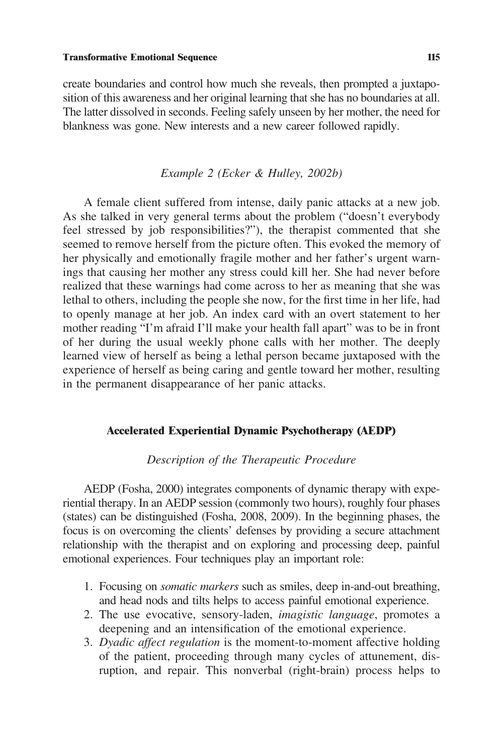create boundaries and control how much she reveals, then prompted a juxtaposition of this awareness and her original learning that she has no boundaries at all. The latter dissolved in seconds. Feeling safely unseen by her mother, the need for blankness was gone. New interests and a new career followed rapidly.

## *Example 2 (Ecker & Hulley, 2002b)*

A female client suffered from intense, daily panic attacks at a new job. As she talked in very general terms about the problem ("doesn't everybody feel stressed by job responsibilities?"), the therapist commented that she seemed to remove herself from the picture often. This evoked the memory of her physically and emotionally fragile mother and her father's urgent warnings that causing her mother any stress could kill her. She had never before realized that these warnings had come across to her as meaning that she was lethal to others, including the people she now, for the first time in her life, had to openly manage at her job. An index card with an overt statement to her mother reading "I'm afraid I'll make your health fall apart" was to be in front of her during the usual weekly phone calls with her mother. The deeply learned view of herself as being a lethal person became juxtaposed with the experience of herself as being caring and gentle toward her mother, resulting in the permanent disappearance of her panic attacks.

## **Accelerated Experiential Dynamic Psychotherapy (AEDP)**

## *Description of the Therapeutic Procedure*

AEDP (Fosha, 2000) integrates components of dynamic therapy with experiential therapy. In an AEDP session (commonly two hours), roughly four phases (states) can be distinguished (Fosha, 2008, 2009). In the beginning phases, the focus is on overcoming the clients' defenses by providing a secure attachment relationship with the therapist and on exploring and processing deep, painful emotional experiences. Four techniques play an important role:

- 1. Focusing on *somatic markers* such as smiles, deep in-and-out breathing, and head nods and tilts helps to access painful emotional experience.
- 2. The use evocative, sensory-laden, *imagistic language*, promotes a deepening and an intensification of the emotional experience.
- 3. *Dyadic affect regulation* is the moment-to-moment affective holding of the patient, proceeding through many cycles of attunement, disruption, and repair. This nonverbal (right-brain) process helps to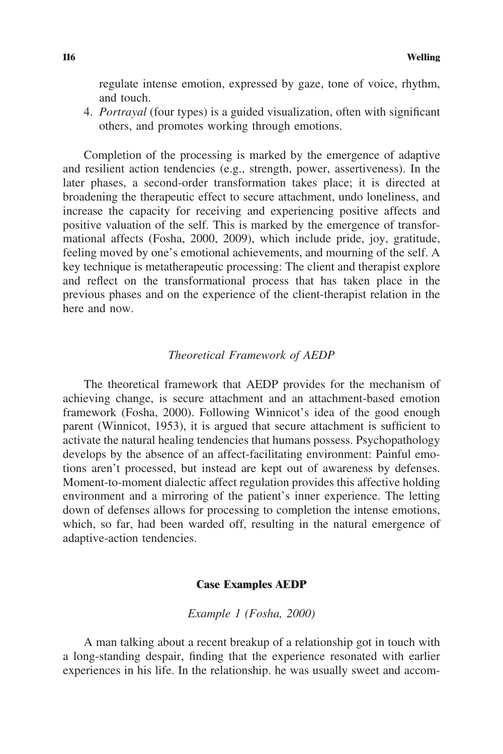regulate intense emotion, expressed by gaze, tone of voice, rhythm, and touch.

4. *Portrayal* (four types) is a guided visualization, often with significant others, and promotes working through emotions.

Completion of the processing is marked by the emergence of adaptive and resilient action tendencies (e.g., strength, power, assertiveness). In the later phases, a second-order transformation takes place; it is directed at broadening the therapeutic effect to secure attachment, undo loneliness, and increase the capacity for receiving and experiencing positive affects and positive valuation of the self. This is marked by the emergence of transformational affects (Fosha, 2000, 2009), which include pride, joy, gratitude, feeling moved by one's emotional achievements, and mourning of the self. A key technique is metatherapeutic processing: The client and therapist explore and reflect on the transformational process that has taken place in the previous phases and on the experience of the client-therapist relation in the here and now.

#### *Theoretical Framework of AEDP*

The theoretical framework that AEDP provides for the mechanism of achieving change, is secure attachment and an attachment-based emotion framework (Fosha, 2000). Following Winnicot's idea of the good enough parent (Winnicot, 1953), it is argued that secure attachment is sufficient to activate the natural healing tendencies that humans possess. Psychopathology develops by the absence of an affect-facilitating environment: Painful emotions aren't processed, but instead are kept out of awareness by defenses. Moment-to-moment dialectic affect regulation provides this affective holding environment and a mirroring of the patient's inner experience. The letting down of defenses allows for processing to completion the intense emotions, which, so far, had been warded off, resulting in the natural emergence of adaptive-action tendencies.

#### **Case Examples AEDP**

#### *Example 1 (Fosha, 2000)*

A man talking about a recent breakup of a relationship got in touch with a long-standing despair, finding that the experience resonated with earlier experiences in his life. In the relationship. he was usually sweet and accom-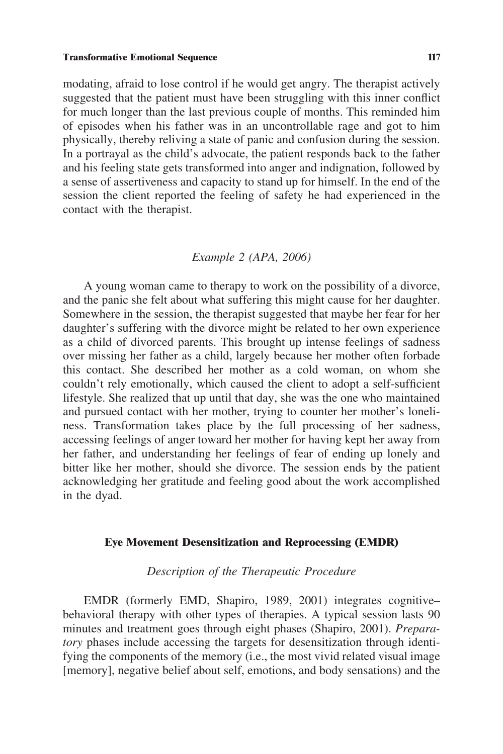modating, afraid to lose control if he would get angry. The therapist actively suggested that the patient must have been struggling with this inner conflict for much longer than the last previous couple of months. This reminded him of episodes when his father was in an uncontrollable rage and got to him physically, thereby reliving a state of panic and confusion during the session. In a portrayal as the child's advocate, the patient responds back to the father and his feeling state gets transformed into anger and indignation, followed by a sense of assertiveness and capacity to stand up for himself. In the end of the session the client reported the feeling of safety he had experienced in the contact with the therapist.

## *Example 2 (APA, 2006)*

A young woman came to therapy to work on the possibility of a divorce, and the panic she felt about what suffering this might cause for her daughter. Somewhere in the session, the therapist suggested that maybe her fear for her daughter's suffering with the divorce might be related to her own experience as a child of divorced parents. This brought up intense feelings of sadness over missing her father as a child, largely because her mother often forbade this contact. She described her mother as a cold woman, on whom she couldn't rely emotionally, which caused the client to adopt a self-sufficient lifestyle. She realized that up until that day, she was the one who maintained and pursued contact with her mother, trying to counter her mother's loneliness. Transformation takes place by the full processing of her sadness, accessing feelings of anger toward her mother for having kept her away from her father, and understanding her feelings of fear of ending up lonely and bitter like her mother, should she divorce. The session ends by the patient acknowledging her gratitude and feeling good about the work accomplished in the dyad.

#### **Eye Movement Desensitization and Reprocessing (EMDR)**

*Description of the Therapeutic Procedure*

EMDR (formerly EMD, Shapiro, 1989, 2001) integrates cognitive– behavioral therapy with other types of therapies. A typical session lasts 90 minutes and treatment goes through eight phases (Shapiro, 2001). *Preparatory* phases include accessing the targets for desensitization through identifying the components of the memory (i.e., the most vivid related visual image [memory], negative belief about self, emotions, and body sensations) and the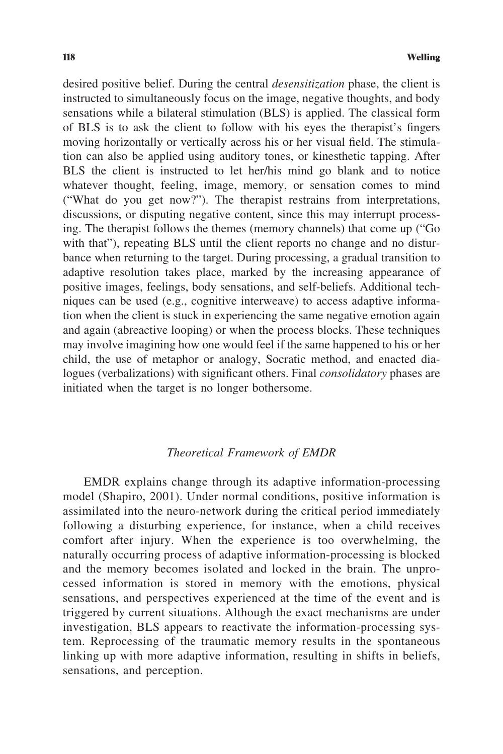desired positive belief. During the central *desensitization* phase, the client is instructed to simultaneously focus on the image, negative thoughts, and body sensations while a bilateral stimulation (BLS) is applied. The classical form of BLS is to ask the client to follow with his eyes the therapist's fingers moving horizontally or vertically across his or her visual field. The stimulation can also be applied using auditory tones, or kinesthetic tapping. After BLS the client is instructed to let her/his mind go blank and to notice whatever thought, feeling, image, memory, or sensation comes to mind ("What do you get now?"). The therapist restrains from interpretations, discussions, or disputing negative content, since this may interrupt processing. The therapist follows the themes (memory channels) that come up ("Go with that"), repeating BLS until the client reports no change and no disturbance when returning to the target. During processing, a gradual transition to adaptive resolution takes place, marked by the increasing appearance of positive images, feelings, body sensations, and self-beliefs. Additional techniques can be used (e.g., cognitive interweave) to access adaptive information when the client is stuck in experiencing the same negative emotion again and again (abreactive looping) or when the process blocks. These techniques may involve imagining how one would feel if the same happened to his or her child, the use of metaphor or analogy, Socratic method, and enacted dialogues (verbalizations) with significant others. Final *consolidatory* phases are initiated when the target is no longer bothersome.

## *Theoretical Framework of EMDR*

EMDR explains change through its adaptive information-processing model (Shapiro, 2001). Under normal conditions, positive information is assimilated into the neuro-network during the critical period immediately following a disturbing experience, for instance, when a child receives comfort after injury. When the experience is too overwhelming, the naturally occurring process of adaptive information-processing is blocked and the memory becomes isolated and locked in the brain. The unprocessed information is stored in memory with the emotions, physical sensations, and perspectives experienced at the time of the event and is triggered by current situations. Although the exact mechanisms are under investigation, BLS appears to reactivate the information-processing system. Reprocessing of the traumatic memory results in the spontaneous linking up with more adaptive information, resulting in shifts in beliefs, sensations, and perception.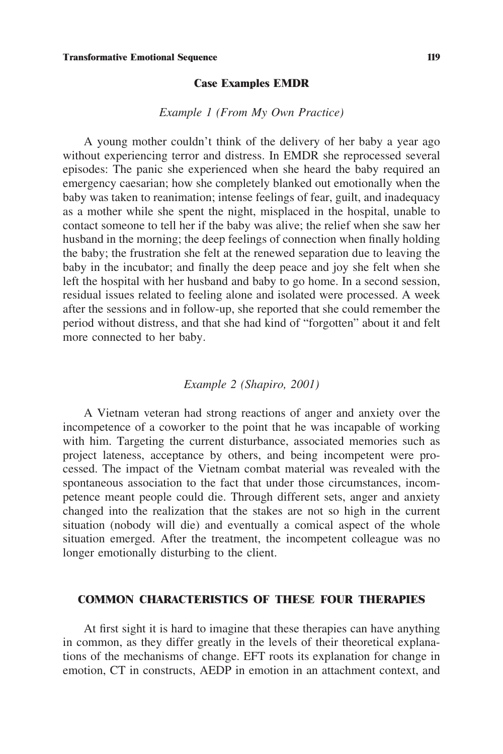#### **Case Examples EMDR**

## *Example 1 (From My Own Practice)*

A young mother couldn't think of the delivery of her baby a year ago without experiencing terror and distress. In EMDR she reprocessed several episodes: The panic she experienced when she heard the baby required an emergency caesarian; how she completely blanked out emotionally when the baby was taken to reanimation; intense feelings of fear, guilt, and inadequacy as a mother while she spent the night, misplaced in the hospital, unable to contact someone to tell her if the baby was alive; the relief when she saw her husband in the morning; the deep feelings of connection when finally holding the baby; the frustration she felt at the renewed separation due to leaving the baby in the incubator; and finally the deep peace and joy she felt when she left the hospital with her husband and baby to go home. In a second session, residual issues related to feeling alone and isolated were processed. A week after the sessions and in follow-up, she reported that she could remember the period without distress, and that she had kind of "forgotten" about it and felt more connected to her baby.

## *Example 2 (Shapiro, 2001)*

A Vietnam veteran had strong reactions of anger and anxiety over the incompetence of a coworker to the point that he was incapable of working with him. Targeting the current disturbance, associated memories such as project lateness, acceptance by others, and being incompetent were processed. The impact of the Vietnam combat material was revealed with the spontaneous association to the fact that under those circumstances, incompetence meant people could die. Through different sets, anger and anxiety changed into the realization that the stakes are not so high in the current situation (nobody will die) and eventually a comical aspect of the whole situation emerged. After the treatment, the incompetent colleague was no longer emotionally disturbing to the client.

#### **COMMON CHARACTERISTICS OF THESE FOUR THERAPIES**

At first sight it is hard to imagine that these therapies can have anything in common, as they differ greatly in the levels of their theoretical explanations of the mechanisms of change. EFT roots its explanation for change in emotion, CT in constructs, AEDP in emotion in an attachment context, and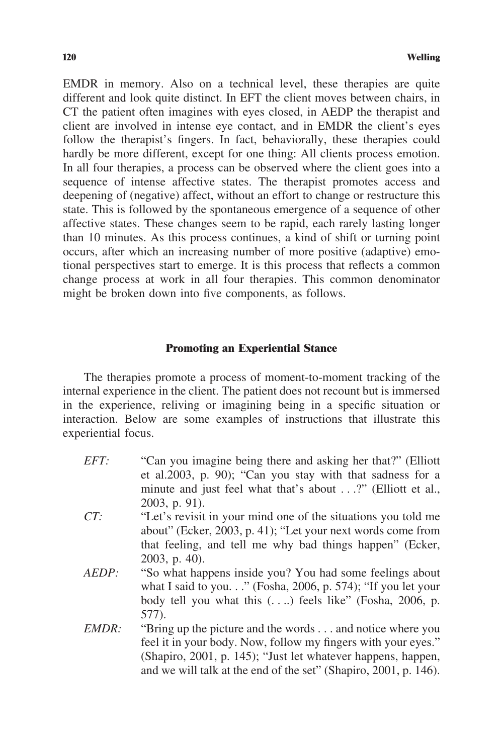EMDR in memory. Also on a technical level, these therapies are quite different and look quite distinct. In EFT the client moves between chairs, in CT the patient often imagines with eyes closed, in AEDP the therapist and client are involved in intense eye contact, and in EMDR the client's eyes follow the therapist's fingers. In fact, behaviorally, these therapies could hardly be more different, except for one thing: All clients process emotion. In all four therapies, a process can be observed where the client goes into a sequence of intense affective states. The therapist promotes access and deepening of (negative) affect, without an effort to change or restructure this state. This is followed by the spontaneous emergence of a sequence of other affective states. These changes seem to be rapid, each rarely lasting longer than 10 minutes. As this process continues, a kind of shift or turning point occurs, after which an increasing number of more positive (adaptive) emotional perspectives start to emerge. It is this process that reflects a common change process at work in all four therapies. This common denominator might be broken down into five components, as follows.

## **Promoting an Experiential Stance**

The therapies promote a process of moment-to-moment tracking of the internal experience in the client. The patient does not recount but is immersed in the experience, reliving or imagining being in a specific situation or interaction. Below are some examples of instructions that illustrate this experiential focus.

| EFT:  | "Can you imagine being there and asking her that?" (Elliott      |
|-------|------------------------------------------------------------------|
|       | et al.2003, p. 90); "Can you stay with that sadness for a        |
|       | minute and just feel what that's about?" (Elliott et al.,        |
|       | $2003$ , p. 91).                                                 |
| CT:   | "Let's revisit in your mind one of the situations you told me    |
|       | about" (Ecker, 2003, p. 41); "Let your next words come from      |
|       | that feeling, and tell me why bad things happen" (Ecker,         |
|       | $2003$ , p. 40).                                                 |
| AEDP: | "So what happens inside you? You had some feelings about         |
|       | what I said to you" (Fosha, 2006, p. 574); "If you let your      |
|       | body tell you what this $($ ) feels like" (Fosha, 2006, p.       |
|       | 577).                                                            |
| EMDR: | "Bring up the picture and the words and notice where you         |
|       | feel it in your body. Now, follow my fingers with your eyes."    |
|       | (Shapiro, 2001, p. 145); "Just let whatever happens, happen,     |
|       | and we will talk at the end of the set" (Shapiro, 2001, p. 146). |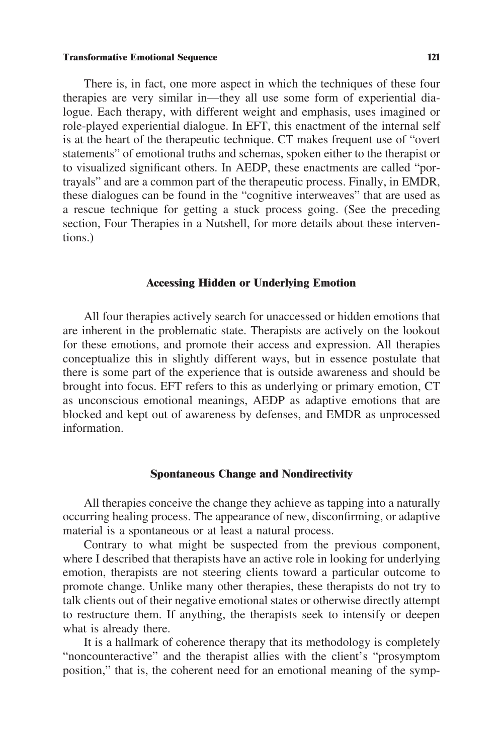There is, in fact, one more aspect in which the techniques of these four therapies are very similar in—they all use some form of experiential dialogue. Each therapy, with different weight and emphasis, uses imagined or role-played experiential dialogue. In EFT, this enactment of the internal self is at the heart of the therapeutic technique. CT makes frequent use of "overt statements" of emotional truths and schemas, spoken either to the therapist or to visualized significant others. In AEDP, these enactments are called "portrayals" and are a common part of the therapeutic process. Finally, in EMDR, these dialogues can be found in the "cognitive interweaves" that are used as a rescue technique for getting a stuck process going. (See the preceding section, Four Therapies in a Nutshell, for more details about these interventions.)

#### **Accessing Hidden or Underlying Emotion**

All four therapies actively search for unaccessed or hidden emotions that are inherent in the problematic state. Therapists are actively on the lookout for these emotions, and promote their access and expression. All therapies conceptualize this in slightly different ways, but in essence postulate that there is some part of the experience that is outside awareness and should be brought into focus. EFT refers to this as underlying or primary emotion, CT as unconscious emotional meanings, AEDP as adaptive emotions that are blocked and kept out of awareness by defenses, and EMDR as unprocessed information.

#### **Spontaneous Change and Nondirectivity**

All therapies conceive the change they achieve as tapping into a naturally occurring healing process. The appearance of new, disconfirming, or adaptive material is a spontaneous or at least a natural process.

Contrary to what might be suspected from the previous component, where I described that therapists have an active role in looking for underlying emotion, therapists are not steering clients toward a particular outcome to promote change. Unlike many other therapies, these therapists do not try to talk clients out of their negative emotional states or otherwise directly attempt to restructure them. If anything, the therapists seek to intensify or deepen what is already there.

It is a hallmark of coherence therapy that its methodology is completely "noncounteractive" and the therapist allies with the client's "prosymptom position," that is, the coherent need for an emotional meaning of the symp-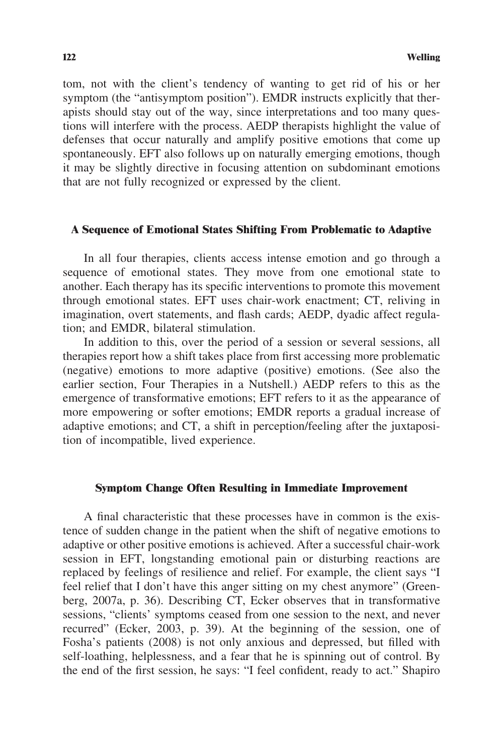tom, not with the client's tendency of wanting to get rid of his or her symptom (the "antisymptom position"). EMDR instructs explicitly that therapists should stay out of the way, since interpretations and too many questions will interfere with the process. AEDP therapists highlight the value of defenses that occur naturally and amplify positive emotions that come up spontaneously. EFT also follows up on naturally emerging emotions, though it may be slightly directive in focusing attention on subdominant emotions that are not fully recognized or expressed by the client.

#### **A Sequence of Emotional States Shifting From Problematic to Adaptive**

In all four therapies, clients access intense emotion and go through a sequence of emotional states. They move from one emotional state to another. Each therapy has its specific interventions to promote this movement through emotional states. EFT uses chair-work enactment; CT, reliving in imagination, overt statements, and flash cards; AEDP, dyadic affect regulation; and EMDR, bilateral stimulation.

In addition to this, over the period of a session or several sessions, all therapies report how a shift takes place from first accessing more problematic (negative) emotions to more adaptive (positive) emotions. (See also the earlier section, Four Therapies in a Nutshell.) AEDP refers to this as the emergence of transformative emotions; EFT refers to it as the appearance of more empowering or softer emotions; EMDR reports a gradual increase of adaptive emotions; and CT, a shift in perception/feeling after the juxtaposition of incompatible, lived experience.

#### **Symptom Change Often Resulting in Immediate Improvement**

A final characteristic that these processes have in common is the existence of sudden change in the patient when the shift of negative emotions to adaptive or other positive emotions is achieved. After a successful chair-work session in EFT, longstanding emotional pain or disturbing reactions are replaced by feelings of resilience and relief. For example, the client says "I feel relief that I don't have this anger sitting on my chest anymore" (Greenberg, 2007a, p. 36). Describing CT, Ecker observes that in transformative sessions, "clients' symptoms ceased from one session to the next, and never recurred" (Ecker, 2003, p. 39). At the beginning of the session, one of Fosha's patients (2008) is not only anxious and depressed, but filled with self-loathing, helplessness, and a fear that he is spinning out of control. By the end of the first session, he says: "I feel confident, ready to act." Shapiro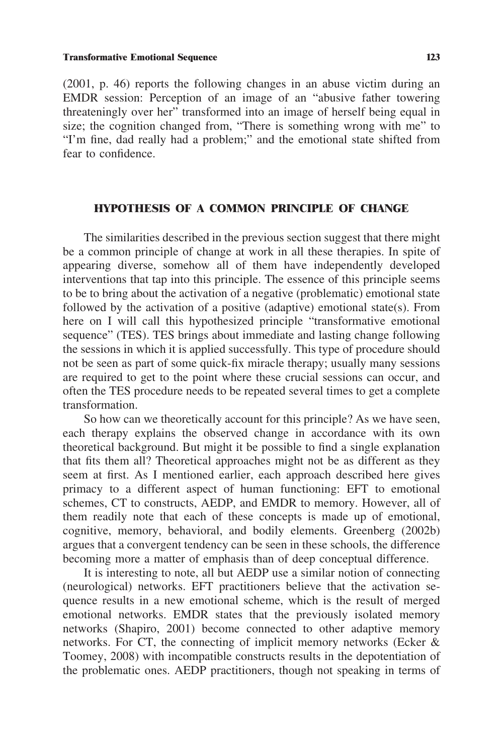(2001, p. 46) reports the following changes in an abuse victim during an EMDR session: Perception of an image of an "abusive father towering threateningly over her" transformed into an image of herself being equal in size; the cognition changed from, "There is something wrong with me" to "I'm fine, dad really had a problem;" and the emotional state shifted from fear to confidence.

#### **HYPOTHESIS OF A COMMON PRINCIPLE OF CHANGE**

The similarities described in the previous section suggest that there might be a common principle of change at work in all these therapies. In spite of appearing diverse, somehow all of them have independently developed interventions that tap into this principle. The essence of this principle seems to be to bring about the activation of a negative (problematic) emotional state followed by the activation of a positive (adaptive) emotional state(s). From here on I will call this hypothesized principle "transformative emotional sequence" (TES). TES brings about immediate and lasting change following the sessions in which it is applied successfully. This type of procedure should not be seen as part of some quick-fix miracle therapy; usually many sessions are required to get to the point where these crucial sessions can occur, and often the TES procedure needs to be repeated several times to get a complete transformation.

So how can we theoretically account for this principle? As we have seen, each therapy explains the observed change in accordance with its own theoretical background. But might it be possible to find a single explanation that fits them all? Theoretical approaches might not be as different as they seem at first. As I mentioned earlier, each approach described here gives primacy to a different aspect of human functioning: EFT to emotional schemes, CT to constructs, AEDP, and EMDR to memory. However, all of them readily note that each of these concepts is made up of emotional, cognitive, memory, behavioral, and bodily elements. Greenberg (2002b) argues that a convergent tendency can be seen in these schools, the difference becoming more a matter of emphasis than of deep conceptual difference.

It is interesting to note, all but AEDP use a similar notion of connecting (neurological) networks. EFT practitioners believe that the activation sequence results in a new emotional scheme, which is the result of merged emotional networks. EMDR states that the previously isolated memory networks (Shapiro, 2001) become connected to other adaptive memory networks. For CT, the connecting of implicit memory networks (Ecker & Toomey, 2008) with incompatible constructs results in the depotentiation of the problematic ones. AEDP practitioners, though not speaking in terms of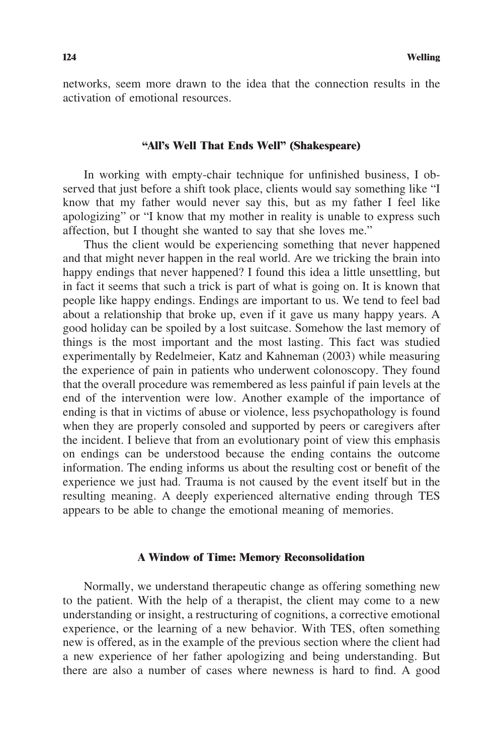networks, seem more drawn to the idea that the connection results in the activation of emotional resources.

#### **"All's Well That Ends Well" (Shakespeare)**

In working with empty-chair technique for unfinished business, I observed that just before a shift took place, clients would say something like "I know that my father would never say this, but as my father I feel like apologizing" or "I know that my mother in reality is unable to express such affection, but I thought she wanted to say that she loves me."

Thus the client would be experiencing something that never happened and that might never happen in the real world. Are we tricking the brain into happy endings that never happened? I found this idea a little unsettling, but in fact it seems that such a trick is part of what is going on. It is known that people like happy endings. Endings are important to us. We tend to feel bad about a relationship that broke up, even if it gave us many happy years. A good holiday can be spoiled by a lost suitcase. Somehow the last memory of things is the most important and the most lasting. This fact was studied experimentally by Redelmeier, Katz and Kahneman (2003) while measuring the experience of pain in patients who underwent colonoscopy. They found that the overall procedure was remembered as less painful if pain levels at the end of the intervention were low. Another example of the importance of ending is that in victims of abuse or violence, less psychopathology is found when they are properly consoled and supported by peers or caregivers after the incident. I believe that from an evolutionary point of view this emphasis on endings can be understood because the ending contains the outcome information. The ending informs us about the resulting cost or benefit of the experience we just had. Trauma is not caused by the event itself but in the resulting meaning. A deeply experienced alternative ending through TES appears to be able to change the emotional meaning of memories.

#### **A Window of Time: Memory Reconsolidation**

Normally, we understand therapeutic change as offering something new to the patient. With the help of a therapist, the client may come to a new understanding or insight, a restructuring of cognitions, a corrective emotional experience, or the learning of a new behavior. With TES, often something new is offered, as in the example of the previous section where the client had a new experience of her father apologizing and being understanding. But there are also a number of cases where newness is hard to find. A good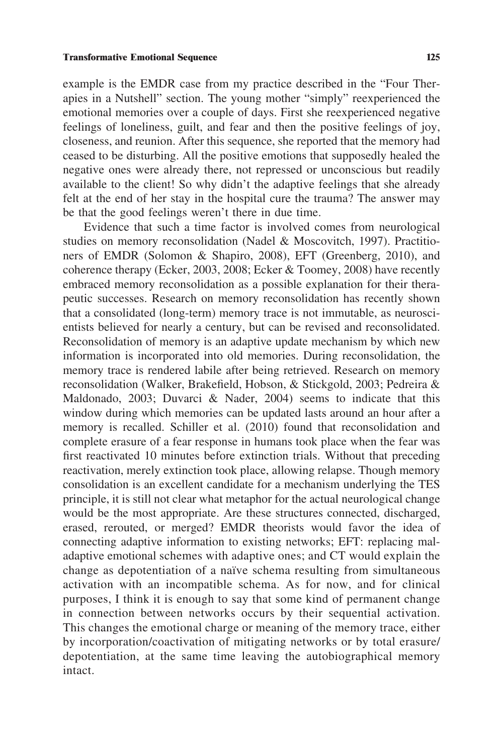example is the EMDR case from my practice described in the "Four Therapies in a Nutshell" section. The young mother "simply" reexperienced the emotional memories over a couple of days. First she reexperienced negative feelings of loneliness, guilt, and fear and then the positive feelings of joy, closeness, and reunion. After this sequence, she reported that the memory had ceased to be disturbing. All the positive emotions that supposedly healed the negative ones were already there, not repressed or unconscious but readily available to the client! So why didn't the adaptive feelings that she already felt at the end of her stay in the hospital cure the trauma? The answer may be that the good feelings weren't there in due time.

Evidence that such a time factor is involved comes from neurological studies on memory reconsolidation (Nadel & Moscovitch, 1997). Practitioners of EMDR (Solomon & Shapiro, 2008), EFT (Greenberg, 2010), and coherence therapy (Ecker, 2003, 2008; Ecker & Toomey, 2008) have recently embraced memory reconsolidation as a possible explanation for their therapeutic successes. Research on memory reconsolidation has recently shown that a consolidated (long-term) memory trace is not immutable, as neuroscientists believed for nearly a century, but can be revised and reconsolidated. Reconsolidation of memory is an adaptive update mechanism by which new information is incorporated into old memories. During reconsolidation, the memory trace is rendered labile after being retrieved. Research on memory reconsolidation (Walker, Brakefield, Hobson, & Stickgold, 2003; Pedreira & Maldonado, 2003; Duvarci & Nader, 2004) seems to indicate that this window during which memories can be updated lasts around an hour after a memory is recalled. Schiller et al. (2010) found that reconsolidation and complete erasure of a fear response in humans took place when the fear was first reactivated 10 minutes before extinction trials. Without that preceding reactivation, merely extinction took place, allowing relapse. Though memory consolidation is an excellent candidate for a mechanism underlying the TES principle, it is still not clear what metaphor for the actual neurological change would be the most appropriate. Are these structures connected, discharged, erased, rerouted, or merged? EMDR theorists would favor the idea of connecting adaptive information to existing networks; EFT: replacing maladaptive emotional schemes with adaptive ones; and CT would explain the change as depotentiation of a naïve schema resulting from simultaneous activation with an incompatible schema. As for now, and for clinical purposes, I think it is enough to say that some kind of permanent change in connection between networks occurs by their sequential activation. This changes the emotional charge or meaning of the memory trace, either by incorporation/coactivation of mitigating networks or by total erasure/ depotentiation, at the same time leaving the autobiographical memory intact.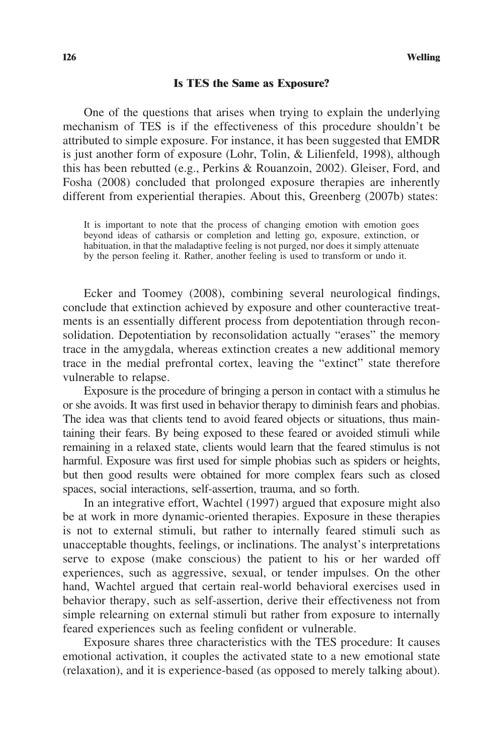#### **Is TES the Same as Exposure?**

One of the questions that arises when trying to explain the underlying mechanism of TES is if the effectiveness of this procedure shouldn't be attributed to simple exposure. For instance, it has been suggested that EMDR is just another form of exposure (Lohr, Tolin, & Lilienfeld, 1998), although this has been rebutted (e.g., Perkins & Rouanzoin, 2002). Gleiser, Ford, and Fosha (2008) concluded that prolonged exposure therapies are inherently different from experiential therapies. About this, Greenberg (2007b) states:

It is important to note that the process of changing emotion with emotion goes beyond ideas of catharsis or completion and letting go, exposure, extinction, or habituation, in that the maladaptive feeling is not purged, nor does it simply attenuate by the person feeling it. Rather, another feeling is used to transform or undo it.

Ecker and Toomey (2008), combining several neurological findings, conclude that extinction achieved by exposure and other counteractive treatments is an essentially different process from depotentiation through reconsolidation. Depotentiation by reconsolidation actually "erases" the memory trace in the amygdala, whereas extinction creates a new additional memory trace in the medial prefrontal cortex, leaving the "extinct" state therefore vulnerable to relapse.

Exposure is the procedure of bringing a person in contact with a stimulus he or she avoids. It was first used in behavior therapy to diminish fears and phobias. The idea was that clients tend to avoid feared objects or situations, thus maintaining their fears. By being exposed to these feared or avoided stimuli while remaining in a relaxed state, clients would learn that the feared stimulus is not harmful. Exposure was first used for simple phobias such as spiders or heights, but then good results were obtained for more complex fears such as closed spaces, social interactions, self-assertion, trauma, and so forth.

In an integrative effort, Wachtel (1997) argued that exposure might also be at work in more dynamic-oriented therapies. Exposure in these therapies is not to external stimuli, but rather to internally feared stimuli such as unacceptable thoughts, feelings, or inclinations. The analyst's interpretations serve to expose (make conscious) the patient to his or her warded off experiences, such as aggressive, sexual, or tender impulses. On the other hand, Wachtel argued that certain real-world behavioral exercises used in behavior therapy, such as self-assertion, derive their effectiveness not from simple relearning on external stimuli but rather from exposure to internally feared experiences such as feeling confident or vulnerable.

Exposure shares three characteristics with the TES procedure: It causes emotional activation, it couples the activated state to a new emotional state (relaxation), and it is experience-based (as opposed to merely talking about).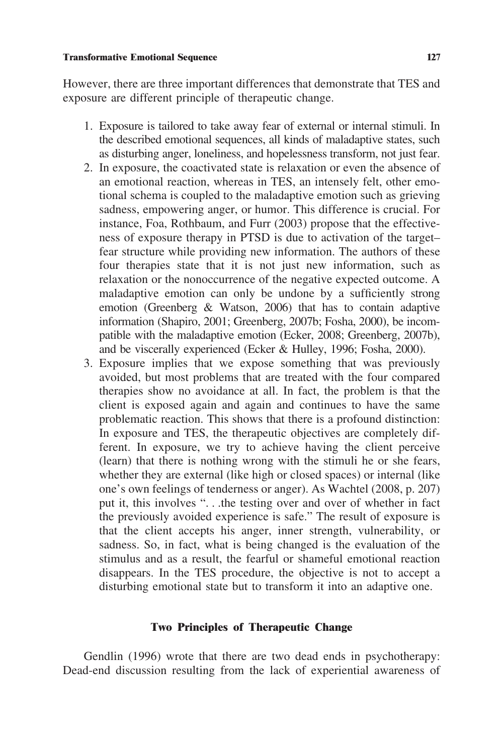However, there are three important differences that demonstrate that TES and exposure are different principle of therapeutic change.

- 1. Exposure is tailored to take away fear of external or internal stimuli. In the described emotional sequences, all kinds of maladaptive states, such as disturbing anger, loneliness, and hopelessness transform, not just fear.
- 2. In exposure, the coactivated state is relaxation or even the absence of an emotional reaction, whereas in TES, an intensely felt, other emotional schema is coupled to the maladaptive emotion such as grieving sadness, empowering anger, or humor. This difference is crucial. For instance, Foa, Rothbaum, and Furr (2003) propose that the effectiveness of exposure therapy in PTSD is due to activation of the target– fear structure while providing new information. The authors of these four therapies state that it is not just new information, such as relaxation or the nonoccurrence of the negative expected outcome. A maladaptive emotion can only be undone by a sufficiently strong emotion (Greenberg & Watson, 2006) that has to contain adaptive information (Shapiro, 2001; Greenberg, 2007b; Fosha, 2000), be incompatible with the maladaptive emotion (Ecker, 2008; Greenberg, 2007b), and be viscerally experienced (Ecker & Hulley, 1996; Fosha, 2000).
- 3. Exposure implies that we expose something that was previously avoided, but most problems that are treated with the four compared therapies show no avoidance at all. In fact, the problem is that the client is exposed again and again and continues to have the same problematic reaction. This shows that there is a profound distinction: In exposure and TES, the therapeutic objectives are completely different. In exposure, we try to achieve having the client perceive (learn) that there is nothing wrong with the stimuli he or she fears, whether they are external (like high or closed spaces) or internal (like one's own feelings of tenderness or anger). As Wachtel (2008, p. 207) put it, this involves ". . .the testing over and over of whether in fact the previously avoided experience is safe." The result of exposure is that the client accepts his anger, inner strength, vulnerability, or sadness. So, in fact, what is being changed is the evaluation of the stimulus and as a result, the fearful or shameful emotional reaction disappears. In the TES procedure, the objective is not to accept a disturbing emotional state but to transform it into an adaptive one.

### **Two Principles of Therapeutic Change**

Gendlin (1996) wrote that there are two dead ends in psychotherapy: Dead-end discussion resulting from the lack of experiential awareness of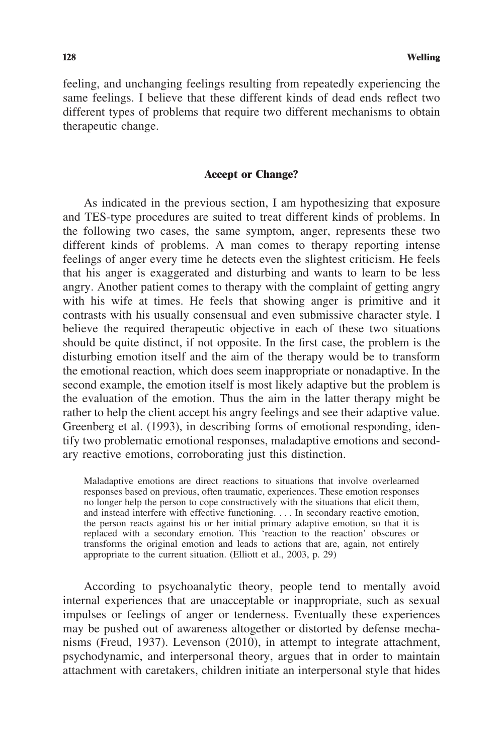feeling, and unchanging feelings resulting from repeatedly experiencing the same feelings. I believe that these different kinds of dead ends reflect two different types of problems that require two different mechanisms to obtain therapeutic change.

#### **Accept or Change?**

As indicated in the previous section, I am hypothesizing that exposure and TES-type procedures are suited to treat different kinds of problems. In the following two cases, the same symptom, anger, represents these two different kinds of problems. A man comes to therapy reporting intense feelings of anger every time he detects even the slightest criticism. He feels that his anger is exaggerated and disturbing and wants to learn to be less angry. Another patient comes to therapy with the complaint of getting angry with his wife at times. He feels that showing anger is primitive and it contrasts with his usually consensual and even submissive character style. I believe the required therapeutic objective in each of these two situations should be quite distinct, if not opposite. In the first case, the problem is the disturbing emotion itself and the aim of the therapy would be to transform the emotional reaction, which does seem inappropriate or nonadaptive. In the second example, the emotion itself is most likely adaptive but the problem is the evaluation of the emotion. Thus the aim in the latter therapy might be rather to help the client accept his angry feelings and see their adaptive value. Greenberg et al. (1993), in describing forms of emotional responding, identify two problematic emotional responses, maladaptive emotions and secondary reactive emotions, corroborating just this distinction.

Maladaptive emotions are direct reactions to situations that involve overlearned responses based on previous, often traumatic, experiences. These emotion responses no longer help the person to cope constructively with the situations that elicit them, and instead interfere with effective functioning. . . . In secondary reactive emotion, the person reacts against his or her initial primary adaptive emotion, so that it is replaced with a secondary emotion. This 'reaction to the reaction' obscures or transforms the original emotion and leads to actions that are, again, not entirely appropriate to the current situation. (Elliott et al., 2003, p. 29)

According to psychoanalytic theory, people tend to mentally avoid internal experiences that are unacceptable or inappropriate, such as sexual impulses or feelings of anger or tenderness. Eventually these experiences may be pushed out of awareness altogether or distorted by defense mechanisms (Freud, 1937). Levenson (2010), in attempt to integrate attachment, psychodynamic, and interpersonal theory, argues that in order to maintain attachment with caretakers, children initiate an interpersonal style that hides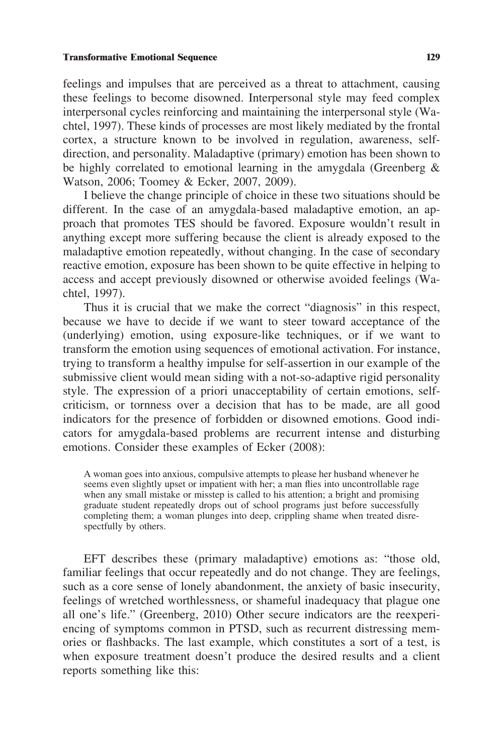feelings and impulses that are perceived as a threat to attachment, causing these feelings to become disowned. Interpersonal style may feed complex interpersonal cycles reinforcing and maintaining the interpersonal style (Wachtel, 1997). These kinds of processes are most likely mediated by the frontal cortex, a structure known to be involved in regulation, awareness, selfdirection, and personality. Maladaptive (primary) emotion has been shown to be highly correlated to emotional learning in the amygdala (Greenberg & Watson, 2006; Toomey & Ecker, 2007, 2009).

I believe the change principle of choice in these two situations should be different. In the case of an amygdala-based maladaptive emotion, an approach that promotes TES should be favored. Exposure wouldn't result in anything except more suffering because the client is already exposed to the maladaptive emotion repeatedly, without changing. In the case of secondary reactive emotion, exposure has been shown to be quite effective in helping to access and accept previously disowned or otherwise avoided feelings (Wachtel, 1997).

Thus it is crucial that we make the correct "diagnosis" in this respect, because we have to decide if we want to steer toward acceptance of the (underlying) emotion, using exposure-like techniques, or if we want to transform the emotion using sequences of emotional activation. For instance, trying to transform a healthy impulse for self-assertion in our example of the submissive client would mean siding with a not-so-adaptive rigid personality style. The expression of a priori unacceptability of certain emotions, selfcriticism, or tornness over a decision that has to be made, are all good indicators for the presence of forbidden or disowned emotions. Good indicators for amygdala-based problems are recurrent intense and disturbing emotions. Consider these examples of Ecker (2008):

A woman goes into anxious, compulsive attempts to please her husband whenever he seems even slightly upset or impatient with her; a man flies into uncontrollable rage when any small mistake or misstep is called to his attention; a bright and promising graduate student repeatedly drops out of school programs just before successfully completing them; a woman plunges into deep, crippling shame when treated disrespectfully by others.

EFT describes these (primary maladaptive) emotions as: "those old, familiar feelings that occur repeatedly and do not change. They are feelings, such as a core sense of lonely abandonment, the anxiety of basic insecurity, feelings of wretched worthlessness, or shameful inadequacy that plague one all one's life." (Greenberg, 2010) Other secure indicators are the reexperiencing of symptoms common in PTSD, such as recurrent distressing memories or flashbacks. The last example, which constitutes a sort of a test, is when exposure treatment doesn't produce the desired results and a client reports something like this: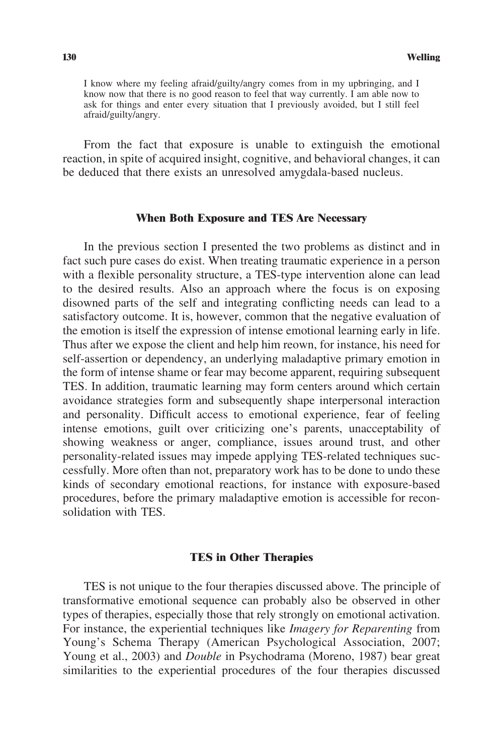I know where my feeling afraid/guilty/angry comes from in my upbringing, and I know now that there is no good reason to feel that way currently. I am able now to ask for things and enter every situation that I previously avoided, but I still feel afraid/guilty/angry.

From the fact that exposure is unable to extinguish the emotional reaction, in spite of acquired insight, cognitive, and behavioral changes, it can be deduced that there exists an unresolved amygdala-based nucleus.

#### **When Both Exposure and TES Are Necessary**

In the previous section I presented the two problems as distinct and in fact such pure cases do exist. When treating traumatic experience in a person with a flexible personality structure, a TES-type intervention alone can lead to the desired results. Also an approach where the focus is on exposing disowned parts of the self and integrating conflicting needs can lead to a satisfactory outcome. It is, however, common that the negative evaluation of the emotion is itself the expression of intense emotional learning early in life. Thus after we expose the client and help him reown, for instance, his need for self-assertion or dependency, an underlying maladaptive primary emotion in the form of intense shame or fear may become apparent, requiring subsequent TES. In addition, traumatic learning may form centers around which certain avoidance strategies form and subsequently shape interpersonal interaction and personality. Difficult access to emotional experience, fear of feeling intense emotions, guilt over criticizing one's parents, unacceptability of showing weakness or anger, compliance, issues around trust, and other personality-related issues may impede applying TES-related techniques successfully. More often than not, preparatory work has to be done to undo these kinds of secondary emotional reactions, for instance with exposure-based procedures, before the primary maladaptive emotion is accessible for reconsolidation with TES.

#### **TES in Other Therapies**

TES is not unique to the four therapies discussed above. The principle of transformative emotional sequence can probably also be observed in other types of therapies, especially those that rely strongly on emotional activation. For instance, the experiential techniques like *Imagery for Reparenting* from Young's Schema Therapy (American Psychological Association, 2007; Young et al., 2003) and *Double* in Psychodrama (Moreno, 1987) bear great similarities to the experiential procedures of the four therapies discussed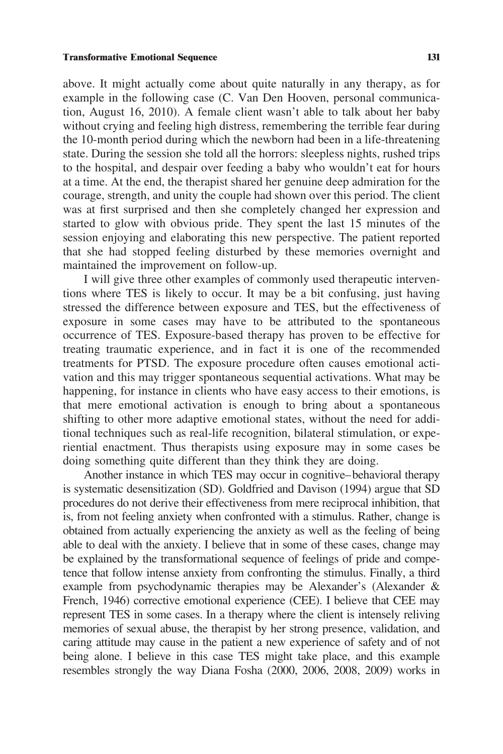above. It might actually come about quite naturally in any therapy, as for example in the following case (C. Van Den Hooven, personal communication, August 16, 2010). A female client wasn't able to talk about her baby without crying and feeling high distress, remembering the terrible fear during the 10-month period during which the newborn had been in a life-threatening state. During the session she told all the horrors: sleepless nights, rushed trips to the hospital, and despair over feeding a baby who wouldn't eat for hours at a time. At the end, the therapist shared her genuine deep admiration for the courage, strength, and unity the couple had shown over this period. The client was at first surprised and then she completely changed her expression and started to glow with obvious pride. They spent the last 15 minutes of the session enjoying and elaborating this new perspective. The patient reported that she had stopped feeling disturbed by these memories overnight and maintained the improvement on follow-up.

I will give three other examples of commonly used therapeutic interventions where TES is likely to occur. It may be a bit confusing, just having stressed the difference between exposure and TES, but the effectiveness of exposure in some cases may have to be attributed to the spontaneous occurrence of TES. Exposure-based therapy has proven to be effective for treating traumatic experience, and in fact it is one of the recommended treatments for PTSD. The exposure procedure often causes emotional activation and this may trigger spontaneous sequential activations. What may be happening, for instance in clients who have easy access to their emotions, is that mere emotional activation is enough to bring about a spontaneous shifting to other more adaptive emotional states, without the need for additional techniques such as real-life recognition, bilateral stimulation, or experiential enactment. Thus therapists using exposure may in some cases be doing something quite different than they think they are doing.

Another instance in which TES may occur in cognitive–behavioral therapy is systematic desensitization (SD). Goldfried and Davison (1994) argue that SD procedures do not derive their effectiveness from mere reciprocal inhibition, that is, from not feeling anxiety when confronted with a stimulus. Rather, change is obtained from actually experiencing the anxiety as well as the feeling of being able to deal with the anxiety. I believe that in some of these cases, change may be explained by the transformational sequence of feelings of pride and competence that follow intense anxiety from confronting the stimulus. Finally, a third example from psychodynamic therapies may be Alexander's (Alexander & French, 1946) corrective emotional experience (CEE). I believe that CEE may represent TES in some cases. In a therapy where the client is intensely reliving memories of sexual abuse, the therapist by her strong presence, validation, and caring attitude may cause in the patient a new experience of safety and of not being alone. I believe in this case TES might take place, and this example resembles strongly the way Diana Fosha (2000, 2006, 2008, 2009) works in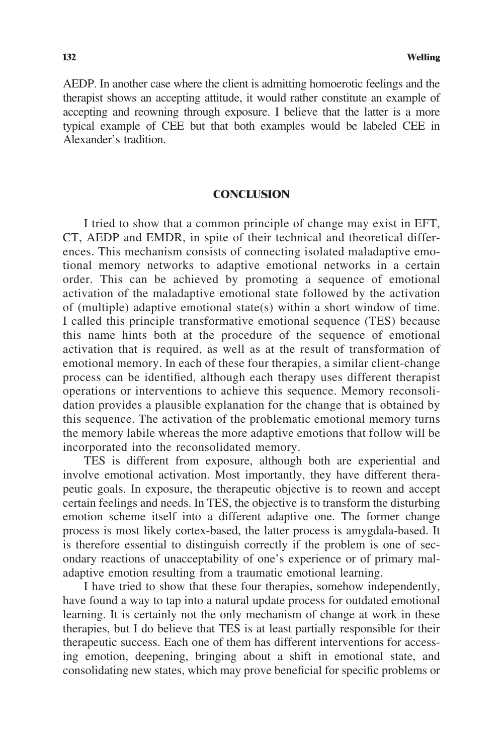AEDP. In another case where the client is admitting homoerotic feelings and the therapist shows an accepting attitude, it would rather constitute an example of accepting and reowning through exposure. I believe that the latter is a more typical example of CEE but that both examples would be labeled CEE in Alexander's tradition.

## **CONCLUSION**

I tried to show that a common principle of change may exist in EFT, CT, AEDP and EMDR, in spite of their technical and theoretical differences. This mechanism consists of connecting isolated maladaptive emotional memory networks to adaptive emotional networks in a certain order. This can be achieved by promoting a sequence of emotional activation of the maladaptive emotional state followed by the activation of (multiple) adaptive emotional state(s) within a short window of time. I called this principle transformative emotional sequence (TES) because this name hints both at the procedure of the sequence of emotional activation that is required, as well as at the result of transformation of emotional memory. In each of these four therapies, a similar client-change process can be identified, although each therapy uses different therapist operations or interventions to achieve this sequence. Memory reconsolidation provides a plausible explanation for the change that is obtained by this sequence. The activation of the problematic emotional memory turns the memory labile whereas the more adaptive emotions that follow will be incorporated into the reconsolidated memory.

TES is different from exposure, although both are experiential and involve emotional activation. Most importantly, they have different therapeutic goals. In exposure, the therapeutic objective is to reown and accept certain feelings and needs. In TES, the objective is to transform the disturbing emotion scheme itself into a different adaptive one. The former change process is most likely cortex-based, the latter process is amygdala-based. It is therefore essential to distinguish correctly if the problem is one of secondary reactions of unacceptability of one's experience or of primary maladaptive emotion resulting from a traumatic emotional learning.

I have tried to show that these four therapies, somehow independently, have found a way to tap into a natural update process for outdated emotional learning. It is certainly not the only mechanism of change at work in these therapies, but I do believe that TES is at least partially responsible for their therapeutic success. Each one of them has different interventions for accessing emotion, deepening, bringing about a shift in emotional state, and consolidating new states, which may prove beneficial for specific problems or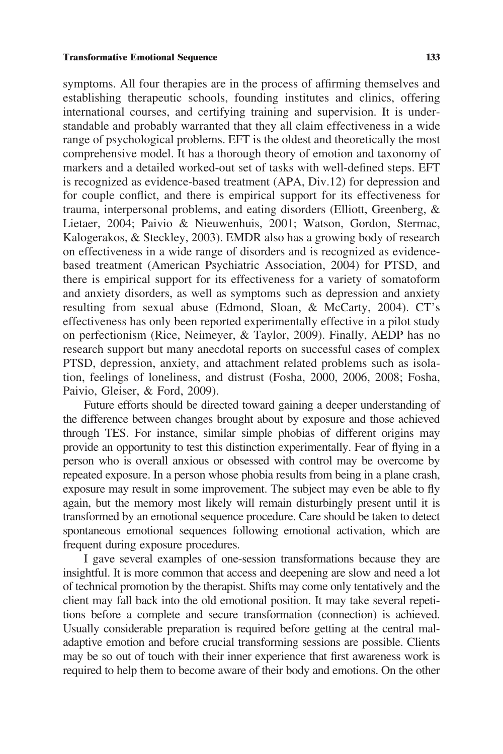symptoms. All four therapies are in the process of affirming themselves and establishing therapeutic schools, founding institutes and clinics, offering international courses, and certifying training and supervision. It is understandable and probably warranted that they all claim effectiveness in a wide range of psychological problems. EFT is the oldest and theoretically the most comprehensive model. It has a thorough theory of emotion and taxonomy of markers and a detailed worked-out set of tasks with well-defined steps. EFT is recognized as evidence-based treatment (APA, Div.12) for depression and for couple conflict, and there is empirical support for its effectiveness for trauma, interpersonal problems, and eating disorders (Elliott, Greenberg, & Lietaer, 2004; Paivio & Nieuwenhuis, 2001; Watson, Gordon, Stermac, Kalogerakos, & Steckley, 2003). EMDR also has a growing body of research on effectiveness in a wide range of disorders and is recognized as evidencebased treatment (American Psychiatric Association, 2004) for PTSD, and there is empirical support for its effectiveness for a variety of somatoform and anxiety disorders, as well as symptoms such as depression and anxiety resulting from sexual abuse (Edmond, Sloan, & McCarty, 2004). CT's effectiveness has only been reported experimentally effective in a pilot study on perfectionism (Rice, Neimeyer, & Taylor, 2009). Finally, AEDP has no research support but many anecdotal reports on successful cases of complex PTSD, depression, anxiety, and attachment related problems such as isolation, feelings of loneliness, and distrust (Fosha, 2000, 2006, 2008; Fosha, Paivio, Gleiser, & Ford, 2009).

Future efforts should be directed toward gaining a deeper understanding of the difference between changes brought about by exposure and those achieved through TES. For instance, similar simple phobias of different origins may provide an opportunity to test this distinction experimentally. Fear of flying in a person who is overall anxious or obsessed with control may be overcome by repeated exposure. In a person whose phobia results from being in a plane crash, exposure may result in some improvement. The subject may even be able to fly again, but the memory most likely will remain disturbingly present until it is transformed by an emotional sequence procedure. Care should be taken to detect spontaneous emotional sequences following emotional activation, which are frequent during exposure procedures.

I gave several examples of one-session transformations because they are insightful. It is more common that access and deepening are slow and need a lot of technical promotion by the therapist. Shifts may come only tentatively and the client may fall back into the old emotional position. It may take several repetitions before a complete and secure transformation (connection) is achieved. Usually considerable preparation is required before getting at the central maladaptive emotion and before crucial transforming sessions are possible. Clients may be so out of touch with their inner experience that first awareness work is required to help them to become aware of their body and emotions. On the other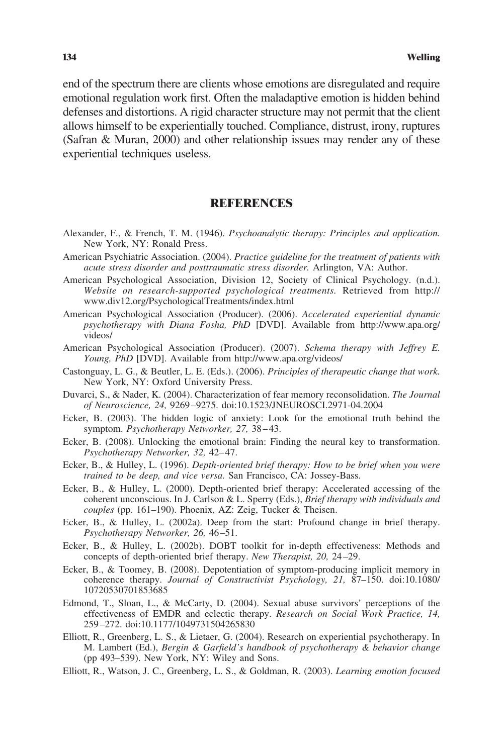end of the spectrum there are clients whose emotions are disregulated and require emotional regulation work first. Often the maladaptive emotion is hidden behind defenses and distortions. A rigid character structure may not permit that the client allows himself to be experientially touched. Compliance, distrust, irony, ruptures (Safran & Muran, 2000) and other relationship issues may render any of these experiential techniques useless.

## **REFERENCES**

- Alexander, F., & French, T. M. (1946). *Psychoanalytic therapy: Principles and application.* New York, NY: Ronald Press.
- American Psychiatric Association. (2004). *Practice guideline for the treatment of patients with acute stress disorder and posttraumatic stress disorder.* Arlington, VA: Author.
- American Psychological Association, Division 12, Society of Clinical Psychology. (n.d.). *Website on research-supported psychological treatments.* Retrieved from http:// www.div12.org/PsychologicalTreatments/index.html
- American Psychological Association (Producer). (2006). *Accelerated experiential dynamic psychotherapy with Diana Fosha, PhD* [DVD]. Available from http://www.apa.org/ videos/
- American Psychological Association (Producer). (2007). *Schema therapy with Jeffrey E. Young, PhD* [DVD]. Available from http://www.apa.org/videos/
- Castonguay, L. G., & Beutler, L. E. (Eds.). (2006). *Principles of therapeutic change that work.* New York, NY: Oxford University Press.
- Duvarci, S., & Nader, K. (2004). Characterization of fear memory reconsolidation. *The Journal of Neuroscience, 24,* 9269–9275. doi:10.1523/JNEUROSCI.2971-04.2004
- Ecker, B. (2003). The hidden logic of anxiety: Look for the emotional truth behind the symptom. *Psychotherapy Networker, 27,* 38–43.
- Ecker, B. (2008). Unlocking the emotional brain: Finding the neural key to transformation. *Psychotherapy Networker, 32,* 42–47.
- Ecker, B., & Hulley, L. (1996). *Depth-oriented brief therapy: How to be brief when you were trained to be deep, and vice versa.* San Francisco, CA: Jossey-Bass.
- Ecker, B., & Hulley, L. (2000). Depth-oriented brief therapy: Accelerated accessing of the coherent unconscious. In J. Carlson & L. Sperry (Eds.), *Brief therapy with individuals and couples* (pp. 161–190). Phoenix, AZ: Zeig, Tucker & Theisen.
- Ecker, B., & Hulley, L. (2002a). Deep from the start: Profound change in brief therapy. *Psychotherapy Networker, 26,* 46–51.
- Ecker, B., & Hulley, L. (2002b). DOBT toolkit for in-depth effectiveness: Methods and concepts of depth-oriented brief therapy. *New Therapist, 20,* 24–29.
- Ecker, B., & Toomey, B. (2008). Depotentiation of symptom-producing implicit memory in coherence therapy. *Journal of Constructivist Psychology, 21,* 87–150. doi:10.1080/ 10720530701853685
- Edmond, T., Sloan, L., & McCarty, D. (2004). Sexual abuse survivors' perceptions of the effectiveness of EMDR and eclectic therapy. *Research on Social Work Practice, 14,* 259–272. doi:10.1177/1049731504265830
- Elliott, R., Greenberg, L. S., & Lietaer, G. (2004). Research on experiential psychotherapy. In M. Lambert (Ed.), *Bergin & Garfield's handbook of psychotherapy & behavior change* (pp 493–539). New York, NY: Wiley and Sons.
- Elliott, R., Watson, J. C., Greenberg, L. S., & Goldman, R. (2003). *Learning emotion focused*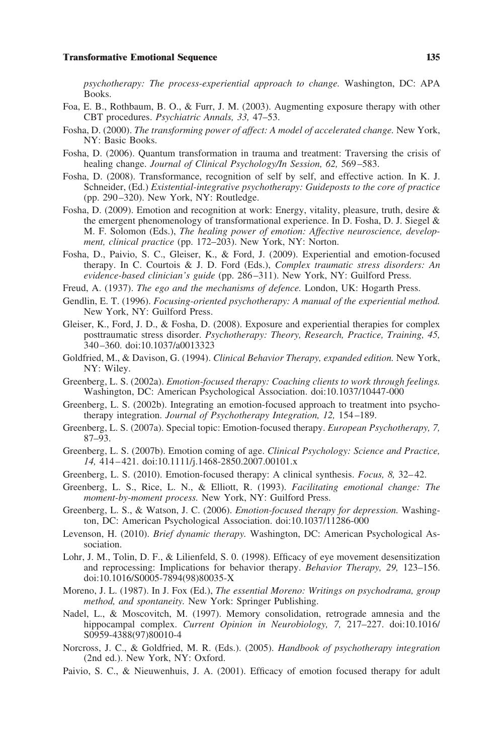*psychotherapy: The process-experiential approach to change.* Washington, DC: APA Books.

- Foa, E. B., Rothbaum, B. O., & Furr, J. M. (2003). Augmenting exposure therapy with other CBT procedures. *Psychiatric Annals, 33,* 47–53.
- Fosha, D. (2000). *The transforming power of affect: A model of accelerated change.* New York, NY: Basic Books.
- Fosha, D. (2006). Quantum transformation in trauma and treatment: Traversing the crisis of healing change. *Journal of Clinical Psychology/In Session, 62,* 569–583.
- Fosha, D. (2008). Transformance, recognition of self by self, and effective action. In K. J. Schneider, (Ed.) *Existential-integrative psychotherapy: Guideposts to the core of practice* (pp. 290–320). New York, NY: Routledge.
- Fosha, D. (2009). Emotion and recognition at work: Energy, vitality, pleasure, truth, desire & the emergent phenomenology of transformational experience. In D. Fosha, D. J. Siegel  $\&$ M. F. Solomon (Eds.), *The healing power of emotion: Affective neuroscience, development, clinical practice* (pp. 172–203). New York, NY: Norton.
- Fosha, D., Paivio, S. C., Gleiser, K., & Ford, J. (2009). Experiential and emotion-focused therapy. In C. Courtois & J. D. Ford (Eds.), *Complex traumatic stress disorders: An evidence-based clinician's guide* (pp. 286–311). New York, NY: Guilford Press.
- Freud, A. (1937). *The ego and the mechanisms of defence.* London, UK: Hogarth Press.
- Gendlin, E. T. (1996). *Focusing-oriented psychotherapy: A manual of the experiential method.* New York, NY: Guilford Press.
- Gleiser, K., Ford, J. D., & Fosha, D. (2008). Exposure and experiential therapies for complex posttraumatic stress disorder. *Psychotherapy: Theory, Research, Practice, Training, 45,* 340–360. doi:10.1037/a0013323
- Goldfried, M., & Davison, G. (1994). *Clinical Behavior Therapy, expanded edition.* New York, NY: Wiley.
- Greenberg, L. S. (2002a). *Emotion-focused therapy: Coaching clients to work through feelings.* Washington, DC: American Psychological Association. doi:10.1037/10447-000
- Greenberg, L. S. (2002b). Integrating an emotion-focused approach to treatment into psychotherapy integration. *Journal of Psychotherapy Integration, 12,* 154–189.
- Greenberg, L. S. (2007a). Special topic: Emotion-focused therapy. *European Psychotherapy, 7,* 87–93.
- Greenberg, L. S. (2007b). Emotion coming of age. *Clinical Psychology: Science and Practice, 14,* 414–421. doi:10.1111/j.1468-2850.2007.00101.x
- Greenberg, L. S. (2010). Emotion-focused therapy: A clinical synthesis. *Focus, 8,* 32–42.
- Greenberg, L. S., Rice, L. N., & Elliott, R. (1993). *Facilitating emotional change: The moment-by-moment process.* New York, NY: Guilford Press.
- Greenberg, L. S., & Watson, J. C. (2006). *Emotion-focused therapy for depression.* Washington, DC: American Psychological Association. doi:10.1037/11286-000
- Levenson, H. (2010). *Brief dynamic therapy.* Washington, DC: American Psychological Association.
- Lohr, J. M., Tolin, D. F., & Lilienfeld, S. 0. (1998). Efficacy of eye movement desensitization and reprocessing: Implications for behavior therapy. *Behavior Therapy, 29,* 123–156. doi:10.1016/S0005-7894(98)80035-X
- Moreno, J. L. (1987). In J. Fox (Ed.), *The essential Moreno: Writings on psychodrama, group method, and spontaneity.* New York: Springer Publishing.
- Nadel, L., & Moscovitch, M. (1997). Memory consolidation, retrograde amnesia and the hippocampal complex. *Current Opinion in Neurobiology, 7,* 217–227. doi:10.1016/ S0959-4388(97)80010-4
- Norcross, J. C., & Goldfried, M. R. (Eds.). (2005). *Handbook of psychotherapy integration* (2nd ed.). New York, NY: Oxford.
- Paivio, S. C., & Nieuwenhuis, J. A. (2001). Efficacy of emotion focused therapy for adult